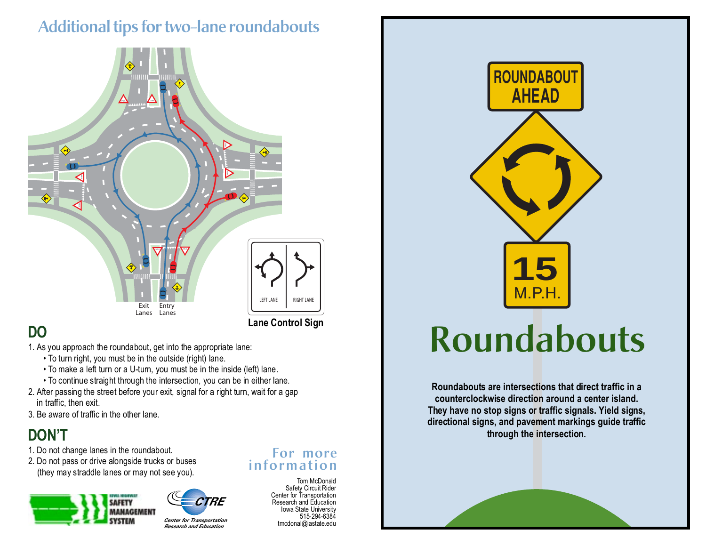## **Additional tips for two-lane roundabouts**



#### **Lane Control Sign**

### **DO**

1. As you approach the roundabout, get into the appropriate lane:

- To turn right, you must be in the outside (right) lane.
- To make a left turn or a U-turn, you must be in the inside (left) lane.
- To continue straight through the intersection, you can be in either lane.
- 2. After passing the street before your exit, signal for a right turn, wait for a gap in traffic, then exit.
- 3. Be aware of traffic in the other lane.

#### **DON'T**

- 1. Do not change lanes in the roundabout.
- 2. Do not pass or drive alongside trucks or buses (they may straddle lanes or may not see you).





*Center for Transportation Research and Education*

#### **For more information**

Tom McDonald Safety Circuit Rider Center for Transportation Research and Education Iowa State University 515-294-6384 tmcdonal@iastate.edu



# **Roundabouts**

**Roundabouts are intersections that direct traffic in a counterclockwise direction around a center island. They have no stop signs or traffic signals. Yield signs, directional signs, and pavement markings guide traffic through the intersection.**